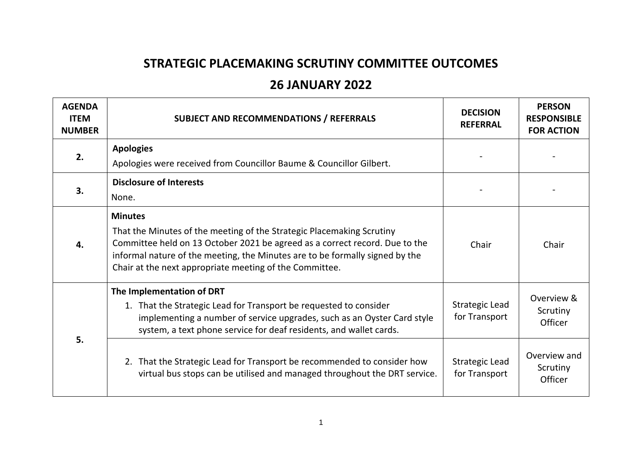## **STRATEGIC PLACEMAKING SCRUTINY COMMITTEE OUTCOMES**

## **26 JANUARY 2022**

| <b>AGENDA</b><br><b>ITEM</b><br><b>NUMBER</b> | <b>SUBJECT AND RECOMMENDATIONS / REFERRALS</b>                                                                                                                                                                                                                                                                    | <b>DECISION</b><br><b>REFERRAL</b>     | <b>PERSON</b><br><b>RESPONSIBLE</b><br><b>FOR ACTION</b> |
|-----------------------------------------------|-------------------------------------------------------------------------------------------------------------------------------------------------------------------------------------------------------------------------------------------------------------------------------------------------------------------|----------------------------------------|----------------------------------------------------------|
| 2.                                            | <b>Apologies</b>                                                                                                                                                                                                                                                                                                  |                                        |                                                          |
|                                               | Apologies were received from Councillor Baume & Councillor Gilbert.                                                                                                                                                                                                                                               |                                        |                                                          |
| 3.                                            | <b>Disclosure of Interests</b>                                                                                                                                                                                                                                                                                    |                                        |                                                          |
|                                               | None.                                                                                                                                                                                                                                                                                                             |                                        |                                                          |
| 4.                                            | <b>Minutes</b><br>That the Minutes of the meeting of the Strategic Placemaking Scrutiny<br>Committee held on 13 October 2021 be agreed as a correct record. Due to the<br>informal nature of the meeting, the Minutes are to be formally signed by the<br>Chair at the next appropriate meeting of the Committee. | Chair                                  | Chair                                                    |
| 5.                                            | The Implementation of DRT<br>1. That the Strategic Lead for Transport be requested to consider<br>implementing a number of service upgrades, such as an Oyster Card style<br>system, a text phone service for deaf residents, and wallet cards.                                                                   | <b>Strategic Lead</b><br>for Transport | Overview &<br>Scrutiny<br>Officer                        |
|                                               | 2. That the Strategic Lead for Transport be recommended to consider how<br>virtual bus stops can be utilised and managed throughout the DRT service.                                                                                                                                                              | <b>Strategic Lead</b><br>for Transport | Overview and<br>Scrutiny<br>Officer                      |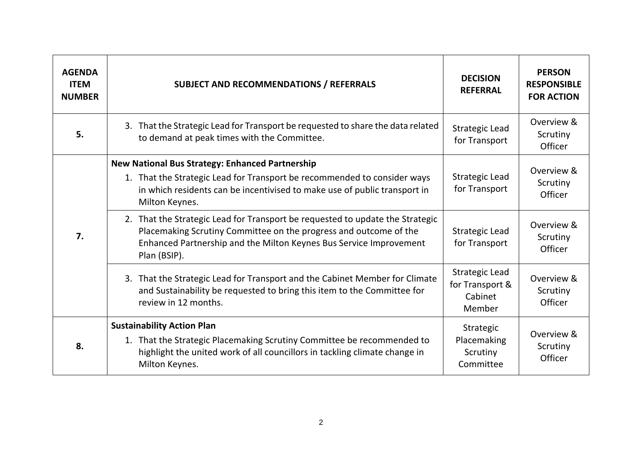| <b>AGENDA</b><br><b>ITEM</b><br><b>NUMBER</b> | <b>SUBJECT AND RECOMMENDATIONS / REFERRALS</b>                                                                                                                                                                                           | <b>DECISION</b><br><b>REFERRAL</b>                            | <b>PERSON</b><br><b>RESPONSIBLE</b><br><b>FOR ACTION</b> |
|-----------------------------------------------|------------------------------------------------------------------------------------------------------------------------------------------------------------------------------------------------------------------------------------------|---------------------------------------------------------------|----------------------------------------------------------|
| 5.                                            | 3. That the Strategic Lead for Transport be requested to share the data related<br>to demand at peak times with the Committee.                                                                                                           | <b>Strategic Lead</b><br>for Transport                        | Overview &<br>Scrutiny<br>Officer                        |
| 7.                                            | <b>New National Bus Strategy: Enhanced Partnership</b><br>1. That the Strategic Lead for Transport be recommended to consider ways<br>in which residents can be incentivised to make use of public transport in<br>Milton Keynes.        | <b>Strategic Lead</b><br>for Transport                        | Overview &<br>Scrutiny<br>Officer                        |
|                                               | 2. That the Strategic Lead for Transport be requested to update the Strategic<br>Placemaking Scrutiny Committee on the progress and outcome of the<br>Enhanced Partnership and the Milton Keynes Bus Service Improvement<br>Plan (BSIP). | <b>Strategic Lead</b><br>for Transport                        | Overview &<br>Scrutiny<br>Officer                        |
|                                               | 3. That the Strategic Lead for Transport and the Cabinet Member for Climate<br>and Sustainability be requested to bring this item to the Committee for<br>review in 12 months.                                                           | <b>Strategic Lead</b><br>for Transport &<br>Cabinet<br>Member | Overview &<br>Scrutiny<br>Officer                        |
| 8.                                            | <b>Sustainability Action Plan</b><br>1. That the Strategic Placemaking Scrutiny Committee be recommended to<br>highlight the united work of all councillors in tackling climate change in<br>Milton Keynes.                              | Strategic<br>Placemaking<br>Scrutiny<br>Committee             | Overview &<br>Scrutiny<br>Officer                        |